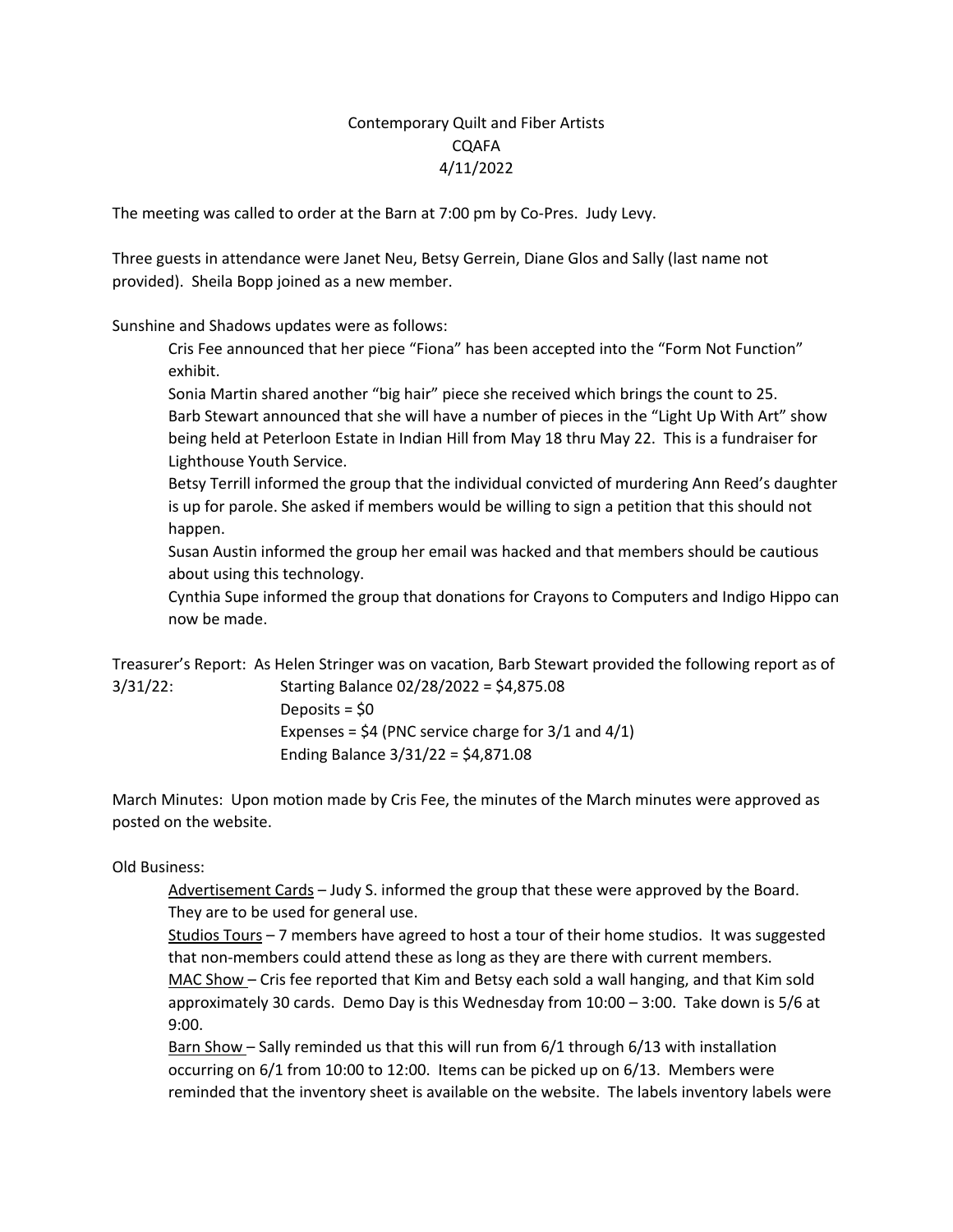## Contemporary Quilt and Fiber Artists CQAFA 4/11/2022

The meeting was called to order at the Barn at 7:00 pm by Co-Pres. Judy Levy.

Three guests in attendance were Janet Neu, Betsy Gerrein, Diane Glos and Sally (last name not provided). Sheila Bopp joined as a new member.

Sunshine and Shadows updates were as follows:

Cris Fee announced that her piece "Fiona" has been accepted into the "Form Not Function" exhibit.

Sonia Martin shared another "big hair" piece she received which brings the count to 25.

Barb Stewart announced that she will have a number of pieces in the "Light Up With Art" show being held at Peterloon Estate in Indian Hill from May 18 thru May 22. This is a fundraiser for Lighthouse Youth Service.

Betsy Terrill informed the group that the individual convicted of murdering Ann Reed's daughter is up for parole. She asked if members would be willing to sign a petition that this should not happen.

Susan Austin informed the group her email was hacked and that members should be cautious about using this technology.

Cynthia Supe informed the group that donations for Crayons to Computers and Indigo Hippo can now be made.

Treasurer's Report: As Helen Stringer was on vacation, Barb Stewart provided the following report as of 3/31/22: Starting Balance 02/28/2022 = \$4,875.08

Deposits = \$0 Expenses =  $$4$  (PNC service charge for  $3/1$  and  $4/1$ ) Ending Balance 3/31/22 = \$4,871.08

March Minutes: Upon motion made by Cris Fee, the minutes of the March minutes were approved as posted on the website.

Old Business:

Advertisement Cards – Judy S. informed the group that these were approved by the Board. They are to be used for general use.

Studios Tours – 7 members have agreed to host a tour of their home studios. It was suggested that non-members could attend these as long as they are there with current members. MAC Show – Cris fee reported that Kim and Betsy each sold a wall hanging, and that Kim sold approximately 30 cards. Demo Day is this Wednesday from 10:00 – 3:00. Take down is 5/6 at 9:00.

Barn Show – Sally reminded us that this will run from 6/1 through 6/13 with installation occurring on 6/1 from 10:00 to 12:00. Items can be picked up on 6/13. Members were reminded that the inventory sheet is available on the website. The labels inventory labels were